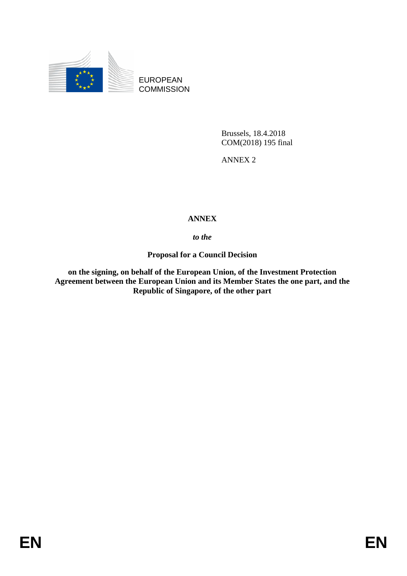

EUROPEAN **COMMISSION** 

> Brussels, 18.4.2018 COM(2018) 195 final

ANNEX 2

# **ANNEX**

## *to the*

**Proposal for a Council Decision** 

**on the signing, on behalf of the European Union, of the Investment Protection Agreement between the European Union and its Member States the one part, and the Republic of Singapore, of the other part**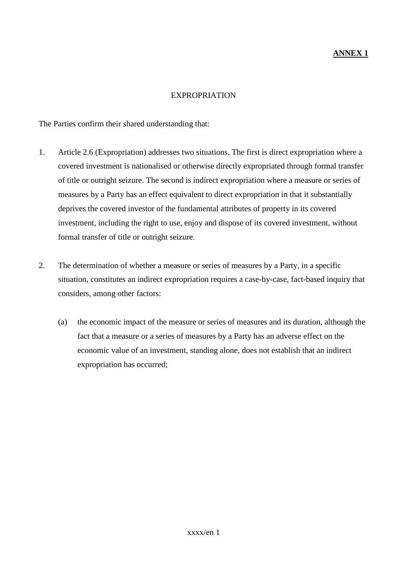#### **ANNEX 1**

#### EXPROPRIATION

The Parties confirm their shared understanding that:

- 1. Article 2.6 (Expropriation) addresses two situations. The first is direct expropriation where a covered investment is nationalised or otherwise directly expropriated through formal transfer of title or outright seizure. The second is indirect expropriation where a measure or series of measures by a Party has an effect equivalent to direct expropriation in that it substantially deprives the covered investor of the fundamental attributes of property in its covered investment, including the right to use, enjoy and dispose of its covered investment, without formal transfer of title or outright seizure.
- 2. The determination of whether a measure or series of measures by a Party, in a specific situation, constitutes an indirect expropriation requires a case-by-case, fact-based inquiry that considers, among other factors:
	- (a) the economic impact of the measure or series of measures and its duration, although the fact that a measure or a series of measures by a Party has an adverse effect on the economic value of an investment, standing alone, does not establish that an indirect expropriation has occurred;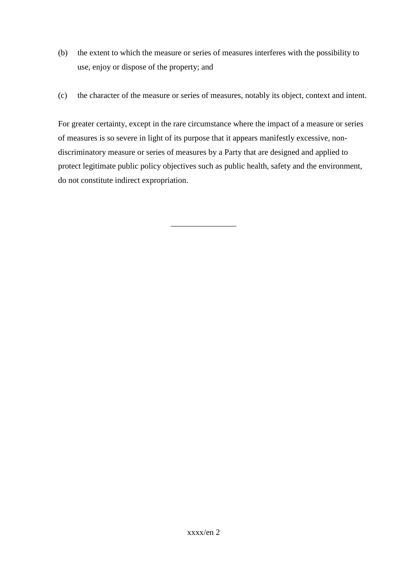- (b) the extent to which the measure or series of measures interferes with the possibility to use, enjoy or dispose of the property; and
- (c) the character of the measure or series of measures, notably its object, context and intent.

For greater certainty, except in the rare circumstance where the impact of a measure or series of measures is so severe in light of its purpose that it appears manifestly excessive, nondiscriminatory measure or series of measures by a Party that are designed and applied to protect legitimate public policy objectives such as public health, safety and the environment, do not constitute indirect expropriation.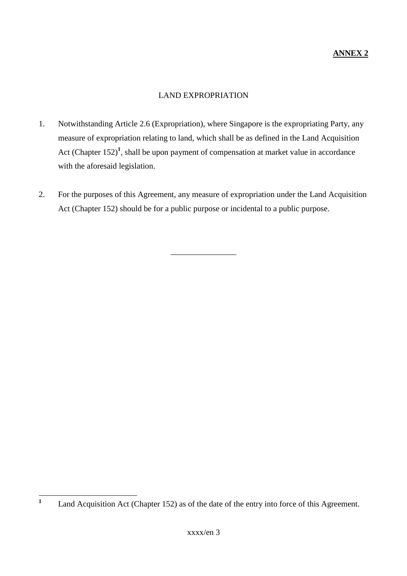#### LAND EXPROPRIATION

- 1. Notwithstanding Article 2.6 (Expropriation), where Singapore is the expropriating Party, any measure of expropriation relating to land, which shall be as defined in the Land Acquisition Act (Chapter  $152$ )<sup>1</sup>, shall be upon payment of compensation at market value in accordance with the aforesaid legislation.
- 2. For the purposes of this Agreement, any measure of expropriation under the Land Acquisition Act (Chapter 152) should be for a public purpose or incidental to a public purpose.

 **1** Land Acquisition Act (Chapter 152) as of the date of the entry into force of this Agreement.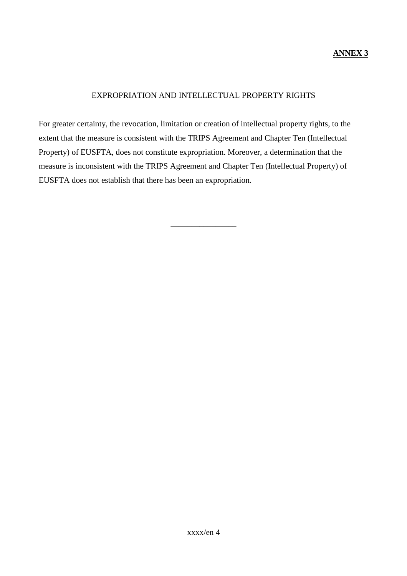#### **ANNEX 3**

#### EXPROPRIATION AND INTELLECTUAL PROPERTY RIGHTS

For greater certainty, the revocation, limitation or creation of intellectual property rights, to the extent that the measure is consistent with the TRIPS Agreement and Chapter Ten (Intellectual Property) of EUSFTA, does not constitute expropriation. Moreover, a determination that the measure is inconsistent with the TRIPS Agreement and Chapter Ten (Intellectual Property) of EUSFTA does not establish that there has been an expropriation.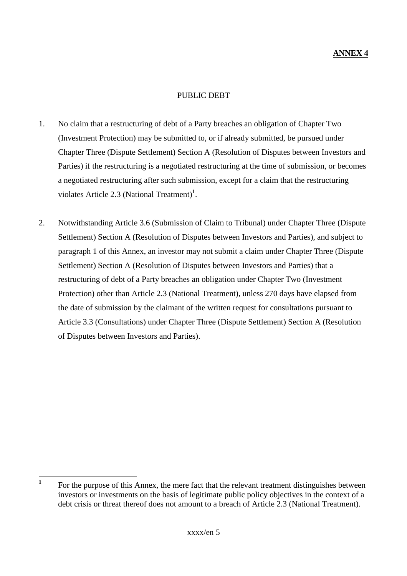#### PUBLIC DEBT

- 1. No claim that a restructuring of debt of a Party breaches an obligation of Chapter Two (Investment Protection) may be submitted to, or if already submitted, be pursued under Chapter Three (Dispute Settlement) Section A (Resolution of Disputes between Investors and Parties) if the restructuring is a negotiated restructuring at the time of submission, or becomes a negotiated restructuring after such submission, except for a claim that the restructuring violates Article 2.3 (National Treatment)**<sup>1</sup>** .
- 2. Notwithstanding Article 3.6 (Submission of Claim to Tribunal) under Chapter Three (Dispute Settlement) Section A (Resolution of Disputes between Investors and Parties), and subject to paragraph 1 of this Annex, an investor may not submit a claim under Chapter Three (Dispute Settlement) Section A (Resolution of Disputes between Investors and Parties) that a restructuring of debt of a Party breaches an obligation under Chapter Two (Investment Protection) other than Article 2.3 (National Treatment), unless 270 days have elapsed from the date of submission by the claimant of the written request for consultations pursuant to Article 3.3 (Consultations) under Chapter Three (Dispute Settlement) Section A (Resolution of Disputes between Investors and Parties).

 **1** For the purpose of this Annex, the mere fact that the relevant treatment distinguishes between investors or investments on the basis of legitimate public policy objectives in the context of a debt crisis or threat thereof does not amount to a breach of Article 2.3 (National Treatment).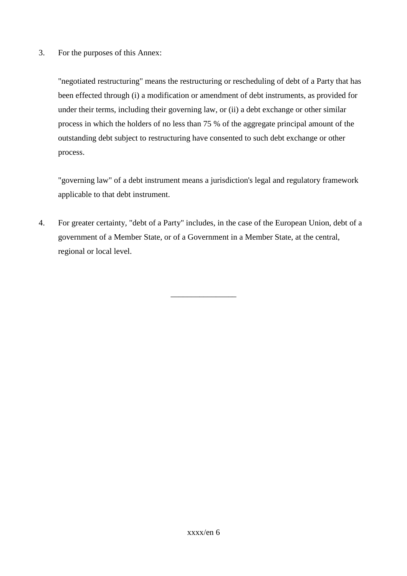3. For the purposes of this Annex:

"negotiated restructuring" means the restructuring or rescheduling of debt of a Party that has been effected through (i) a modification or amendment of debt instruments, as provided for under their terms, including their governing law, or (ii) a debt exchange or other similar process in which the holders of no less than 75 % of the aggregate principal amount of the outstanding debt subject to restructuring have consented to such debt exchange or other process.

"governing law" of a debt instrument means a jurisdiction's legal and regulatory framework applicable to that debt instrument.

4. For greater certainty, "debt of a Party" includes, in the case of the European Union, debt of a government of a Member State, or of a Government in a Member State, at the central, regional or local level.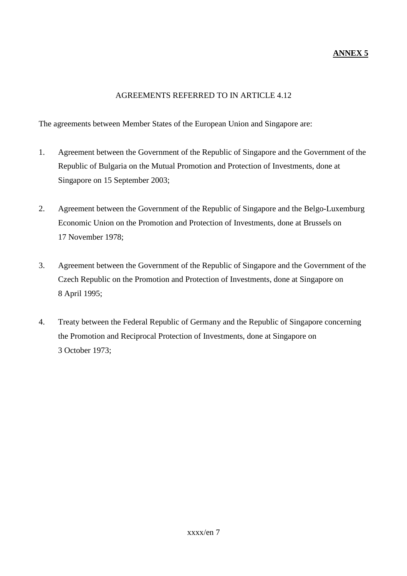# **ANNEX 5**

## AGREEMENTS REFERRED TO IN ARTICLE 4.12

The agreements between Member States of the European Union and Singapore are:

- 1. Agreement between the Government of the Republic of Singapore and the Government of the Republic of Bulgaria on the Mutual Promotion and Protection of Investments, done at Singapore on 15 September 2003;
- 2. Agreement between the Government of the Republic of Singapore and the Belgo-Luxemburg Economic Union on the Promotion and Protection of Investments, done at Brussels on 17 November 1978;
- 3. Agreement between the Government of the Republic of Singapore and the Government of the Czech Republic on the Promotion and Protection of Investments, done at Singapore on 8 April 1995;
- 4. Treaty between the Federal Republic of Germany and the Republic of Singapore concerning the Promotion and Reciprocal Protection of Investments, done at Singapore on 3 October 1973;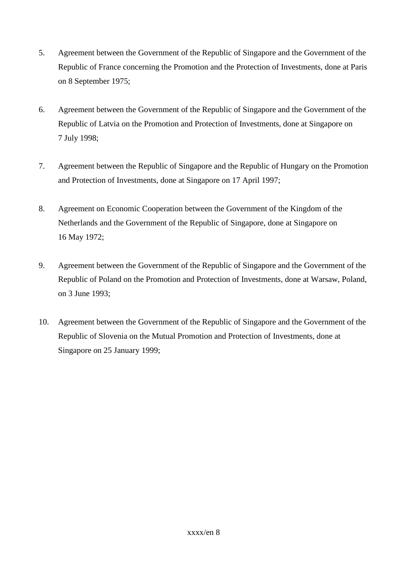- 5. Agreement between the Government of the Republic of Singapore and the Government of the Republic of France concerning the Promotion and the Protection of Investments, done at Paris on 8 September 1975;
- 6. Agreement between the Government of the Republic of Singapore and the Government of the Republic of Latvia on the Promotion and Protection of Investments, done at Singapore on 7 July 1998;
- 7. Agreement between the Republic of Singapore and the Republic of Hungary on the Promotion and Protection of Investments, done at Singapore on 17 April 1997;
- 8. Agreement on Economic Cooperation between the Government of the Kingdom of the Netherlands and the Government of the Republic of Singapore, done at Singapore on 16 May 1972;
- 9. Agreement between the Government of the Republic of Singapore and the Government of the Republic of Poland on the Promotion and Protection of Investments, done at Warsaw, Poland, on 3 June 1993;
- 10. Agreement between the Government of the Republic of Singapore and the Government of the Republic of Slovenia on the Mutual Promotion and Protection of Investments, done at Singapore on 25 January 1999;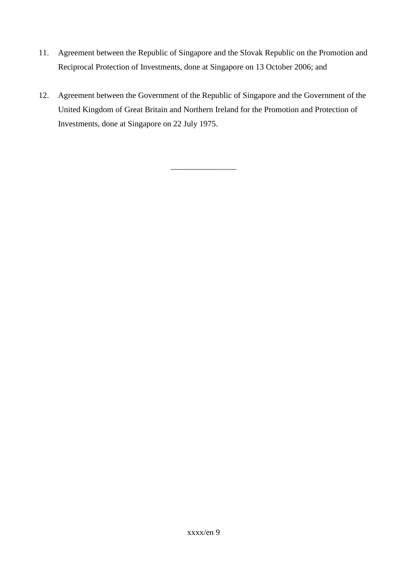- 11. Agreement between the Republic of Singapore and the Slovak Republic on the Promotion and Reciprocal Protection of Investments, done at Singapore on 13 October 2006; and
- 12. Agreement between the Government of the Republic of Singapore and the Government of the United Kingdom of Great Britain and Northern Ireland for the Promotion and Protection of Investments, done at Singapore on 22 July 1975.

\_\_\_\_\_\_\_\_\_\_\_\_\_\_\_\_

xxxx/en 9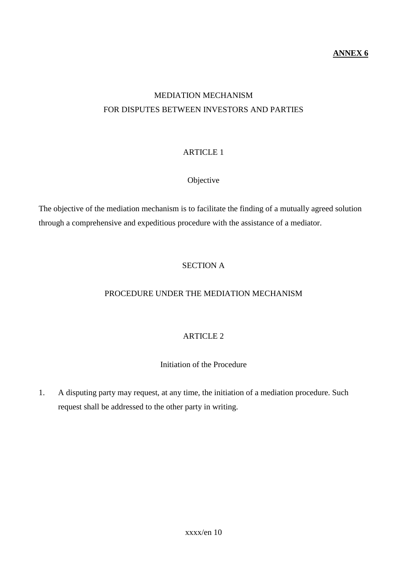#### **ANNEX 6**

# MEDIATION MECHANISM FOR DISPUTES BETWEEN INVESTORS AND PARTIES

# ARTICLE 1

#### Objective

The objective of the mediation mechanism is to facilitate the finding of a mutually agreed solution through a comprehensive and expeditious procedure with the assistance of a mediator.

# SECTION A

#### PROCEDURE UNDER THE MEDIATION MECHANISM

## ARTICLE 2

#### Initiation of the Procedure

1. A disputing party may request, at any time, the initiation of a mediation procedure. Such request shall be addressed to the other party in writing.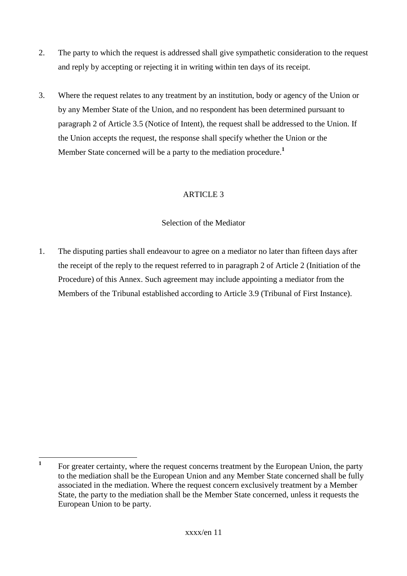- 2. The party to which the request is addressed shall give sympathetic consideration to the request and reply by accepting or rejecting it in writing within ten days of its receipt.
- 3. Where the request relates to any treatment by an institution, body or agency of the Union or by any Member State of the Union, and no respondent has been determined pursuant to paragraph 2 of Article 3.5 (Notice of Intent), the request shall be addressed to the Union. If the Union accepts the request, the response shall specify whether the Union or the Member State concerned will be a party to the mediation procedure.**<sup>1</sup>**

## Selection of the Mediator

1. The disputing parties shall endeavour to agree on a mediator no later than fifteen days after the receipt of the reply to the request referred to in paragraph 2 of Article 2 (Initiation of the Procedure) of this Annex. Such agreement may include appointing a mediator from the Members of the Tribunal established according to Article 3.9 (Tribunal of First Instance).

 **1** For greater certainty, where the request concerns treatment by the European Union, the party to the mediation shall be the European Union and any Member State concerned shall be fully associated in the mediation. Where the request concern exclusively treatment by a Member State, the party to the mediation shall be the Member State concerned, unless it requests the European Union to be party.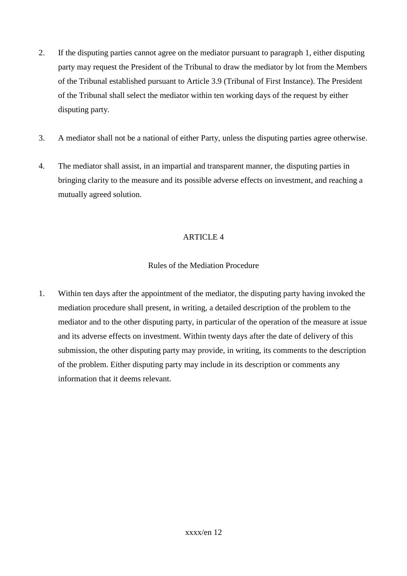- 2. If the disputing parties cannot agree on the mediator pursuant to paragraph 1, either disputing party may request the President of the Tribunal to draw the mediator by lot from the Members of the Tribunal established pursuant to Article 3.9 (Tribunal of First Instance). The President of the Tribunal shall select the mediator within ten working days of the request by either disputing party.
- 3. A mediator shall not be a national of either Party, unless the disputing parties agree otherwise.
- 4. The mediator shall assist, in an impartial and transparent manner, the disputing parties in bringing clarity to the measure and its possible adverse effects on investment, and reaching a mutually agreed solution.

# Rules of the Mediation Procedure

1. Within ten days after the appointment of the mediator, the disputing party having invoked the mediation procedure shall present, in writing, a detailed description of the problem to the mediator and to the other disputing party, in particular of the operation of the measure at issue and its adverse effects on investment. Within twenty days after the date of delivery of this submission, the other disputing party may provide, in writing, its comments to the description of the problem. Either disputing party may include in its description or comments any information that it deems relevant.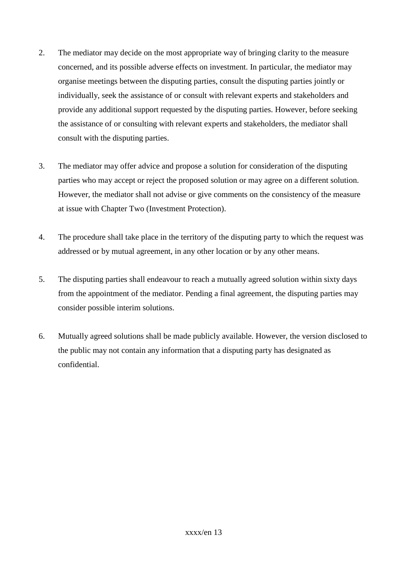- 2. The mediator may decide on the most appropriate way of bringing clarity to the measure concerned, and its possible adverse effects on investment. In particular, the mediator may organise meetings between the disputing parties, consult the disputing parties jointly or individually, seek the assistance of or consult with relevant experts and stakeholders and provide any additional support requested by the disputing parties. However, before seeking the assistance of or consulting with relevant experts and stakeholders, the mediator shall consult with the disputing parties.
- 3. The mediator may offer advice and propose a solution for consideration of the disputing parties who may accept or reject the proposed solution or may agree on a different solution. However, the mediator shall not advise or give comments on the consistency of the measure at issue with Chapter Two (Investment Protection).
- 4. The procedure shall take place in the territory of the disputing party to which the request was addressed or by mutual agreement, in any other location or by any other means.
- 5. The disputing parties shall endeavour to reach a mutually agreed solution within sixty days from the appointment of the mediator. Pending a final agreement, the disputing parties may consider possible interim solutions.
- 6. Mutually agreed solutions shall be made publicly available. However, the version disclosed to the public may not contain any information that a disputing party has designated as confidential.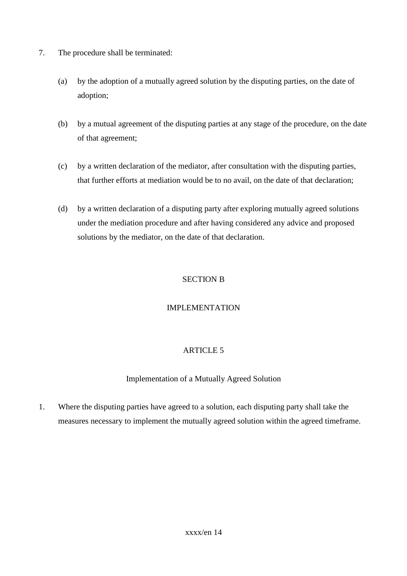- 7. The procedure shall be terminated:
	- (a) by the adoption of a mutually agreed solution by the disputing parties, on the date of adoption;
	- (b) by a mutual agreement of the disputing parties at any stage of the procedure, on the date of that agreement;
	- (c) by a written declaration of the mediator, after consultation with the disputing parties, that further efforts at mediation would be to no avail, on the date of that declaration;
	- (d) by a written declaration of a disputing party after exploring mutually agreed solutions under the mediation procedure and after having considered any advice and proposed solutions by the mediator, on the date of that declaration.

## SECTION B

## IMPLEMENTATION

# ARTICLE 5

## Implementation of a Mutually Agreed Solution

1. Where the disputing parties have agreed to a solution, each disputing party shall take the measures necessary to implement the mutually agreed solution within the agreed timeframe.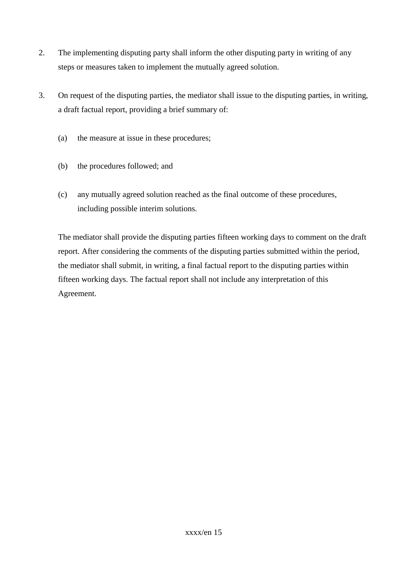- 2. The implementing disputing party shall inform the other disputing party in writing of any steps or measures taken to implement the mutually agreed solution.
- 3. On request of the disputing parties, the mediator shall issue to the disputing parties, in writing, a draft factual report, providing a brief summary of:
	- (a) the measure at issue in these procedures;
	- (b) the procedures followed; and
	- (c) any mutually agreed solution reached as the final outcome of these procedures, including possible interim solutions.

The mediator shall provide the disputing parties fifteen working days to comment on the draft report. After considering the comments of the disputing parties submitted within the period, the mediator shall submit, in writing, a final factual report to the disputing parties within fifteen working days. The factual report shall not include any interpretation of this Agreement.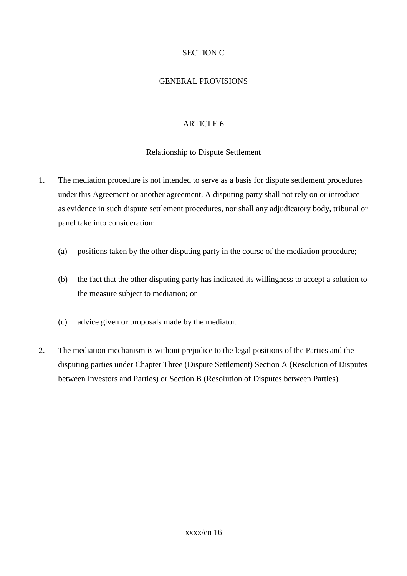## SECTION C

#### GENERAL PROVISIONS

# ARTICLE 6

## Relationship to Dispute Settlement

- 1. The mediation procedure is not intended to serve as a basis for dispute settlement procedures under this Agreement or another agreement. A disputing party shall not rely on or introduce as evidence in such dispute settlement procedures, nor shall any adjudicatory body, tribunal or panel take into consideration:
	- (a) positions taken by the other disputing party in the course of the mediation procedure;
	- (b) the fact that the other disputing party has indicated its willingness to accept a solution to the measure subject to mediation; or
	- (c) advice given or proposals made by the mediator.
- 2. The mediation mechanism is without prejudice to the legal positions of the Parties and the disputing parties under Chapter Three (Dispute Settlement) Section A (Resolution of Disputes between Investors and Parties) or Section B (Resolution of Disputes between Parties).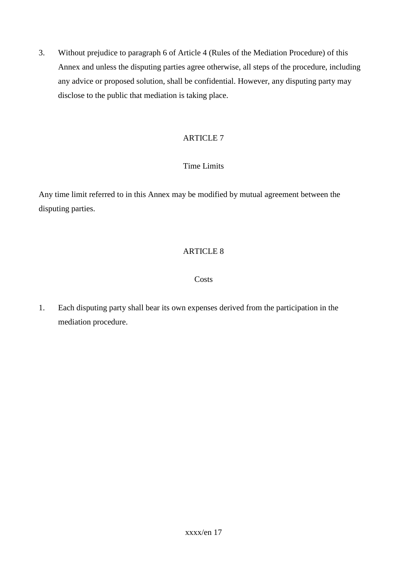3. Without prejudice to paragraph 6 of Article 4 (Rules of the Mediation Procedure) of this Annex and unless the disputing parties agree otherwise, all steps of the procedure, including any advice or proposed solution, shall be confidential. However, any disputing party may disclose to the public that mediation is taking place.

# ARTICLE 7

# Time Limits

Any time limit referred to in this Annex may be modified by mutual agreement between the disputing parties.

# ARTICLE 8

#### **Costs**

1. Each disputing party shall bear its own expenses derived from the participation in the mediation procedure.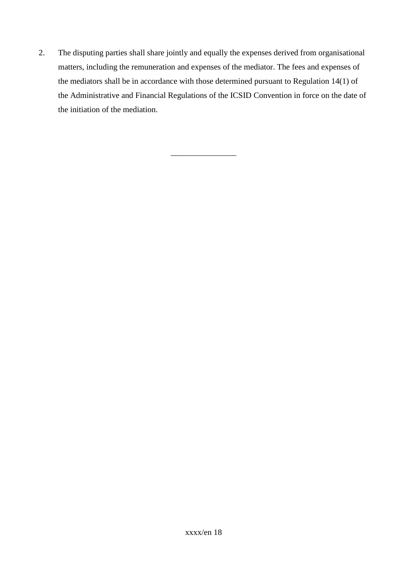2. The disputing parties shall share jointly and equally the expenses derived from organisational matters, including the remuneration and expenses of the mediator. The fees and expenses of the mediators shall be in accordance with those determined pursuant to Regulation 14(1) of the Administrative and Financial Regulations of the ICSID Convention in force on the date of the initiation of the mediation.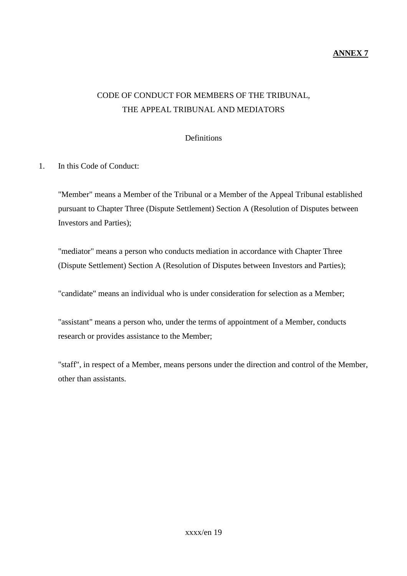#### **ANNEX 7**

# CODE OF CONDUCT FOR MEMBERS OF THE TRIBUNAL, THE APPEAL TRIBUNAL AND MEDIATORS

**Definitions** 

1. In this Code of Conduct:

"Member" means a Member of the Tribunal or a Member of the Appeal Tribunal established pursuant to Chapter Three (Dispute Settlement) Section A (Resolution of Disputes between Investors and Parties);

"mediator" means a person who conducts mediation in accordance with Chapter Three (Dispute Settlement) Section A (Resolution of Disputes between Investors and Parties);

"candidate" means an individual who is under consideration for selection as a Member;

"assistant" means a person who, under the terms of appointment of a Member, conducts research or provides assistance to the Member;

"staff", in respect of a Member, means persons under the direction and control of the Member, other than assistants.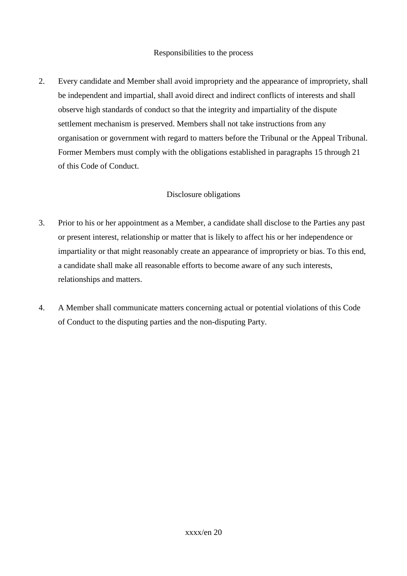#### Responsibilities to the process

2. Every candidate and Member shall avoid impropriety and the appearance of impropriety, shall be independent and impartial, shall avoid direct and indirect conflicts of interests and shall observe high standards of conduct so that the integrity and impartiality of the dispute settlement mechanism is preserved. Members shall not take instructions from any organisation or government with regard to matters before the Tribunal or the Appeal Tribunal. Former Members must comply with the obligations established in paragraphs 15 through 21 of this Code of Conduct.

#### Disclosure obligations

- 3. Prior to his or her appointment as a Member, a candidate shall disclose to the Parties any past or present interest, relationship or matter that is likely to affect his or her independence or impartiality or that might reasonably create an appearance of impropriety or bias. To this end, a candidate shall make all reasonable efforts to become aware of any such interests, relationships and matters.
- 4. A Member shall communicate matters concerning actual or potential violations of this Code of Conduct to the disputing parties and the non-disputing Party.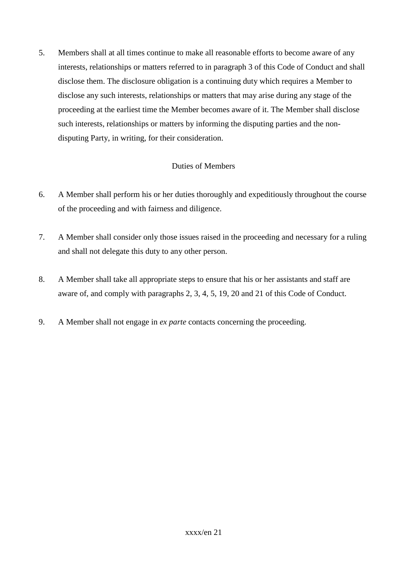5. Members shall at all times continue to make all reasonable efforts to become aware of any interests, relationships or matters referred to in paragraph 3 of this Code of Conduct and shall disclose them. The disclosure obligation is a continuing duty which requires a Member to disclose any such interests, relationships or matters that may arise during any stage of the proceeding at the earliest time the Member becomes aware of it. The Member shall disclose such interests, relationships or matters by informing the disputing parties and the nondisputing Party, in writing, for their consideration.

## Duties of Members

- 6. A Member shall perform his or her duties thoroughly and expeditiously throughout the course of the proceeding and with fairness and diligence.
- 7. A Member shall consider only those issues raised in the proceeding and necessary for a ruling and shall not delegate this duty to any other person.
- 8. A Member shall take all appropriate steps to ensure that his or her assistants and staff are aware of, and comply with paragraphs 2, 3, 4, 5, 19, 20 and 21 of this Code of Conduct.
- 9. A Member shall not engage in *ex parte* contacts concerning the proceeding.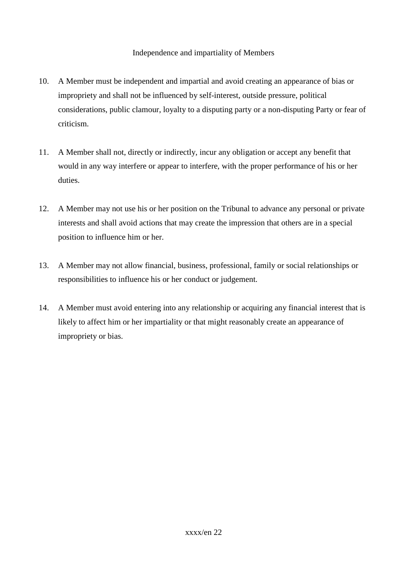#### Independence and impartiality of Members

- 10. A Member must be independent and impartial and avoid creating an appearance of bias or impropriety and shall not be influenced by self-interest, outside pressure, political considerations, public clamour, loyalty to a disputing party or a non-disputing Party or fear of criticism.
- 11. A Member shall not, directly or indirectly, incur any obligation or accept any benefit that would in any way interfere or appear to interfere, with the proper performance of his or her duties.
- 12. A Member may not use his or her position on the Tribunal to advance any personal or private interests and shall avoid actions that may create the impression that others are in a special position to influence him or her.
- 13. A Member may not allow financial, business, professional, family or social relationships or responsibilities to influence his or her conduct or judgement.
- 14. A Member must avoid entering into any relationship or acquiring any financial interest that is likely to affect him or her impartiality or that might reasonably create an appearance of impropriety or bias.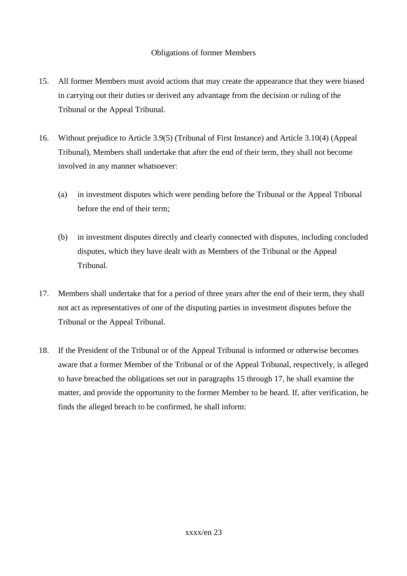#### Obligations of former Members

- 15. All former Members must avoid actions that may create the appearance that they were biased in carrying out their duties or derived any advantage from the decision or ruling of the Tribunal or the Appeal Tribunal.
- 16. Without prejudice to Article 3.9(5) (Tribunal of First Instance) and Article 3.10(4) (Appeal Tribunal), Members shall undertake that after the end of their term, they shall not become involved in any manner whatsoever:
	- (a) in investment disputes which were pending before the Tribunal or the Appeal Tribunal before the end of their term;
	- (b) in investment disputes directly and clearly connected with disputes, including concluded disputes, which they have dealt with as Members of the Tribunal or the Appeal Tribunal.
- 17. Members shall undertake that for a period of three years after the end of their term, they shall not act as representatives of one of the disputing parties in investment disputes before the Tribunal or the Appeal Tribunal.
- 18. If the President of the Tribunal or of the Appeal Tribunal is informed or otherwise becomes aware that a former Member of the Tribunal or of the Appeal Tribunal, respectively, is alleged to have breached the obligations set out in paragraphs 15 through 17, he shall examine the matter, and provide the opportunity to the former Member to be heard. If, after verification, he finds the alleged breach to be confirmed, he shall inform: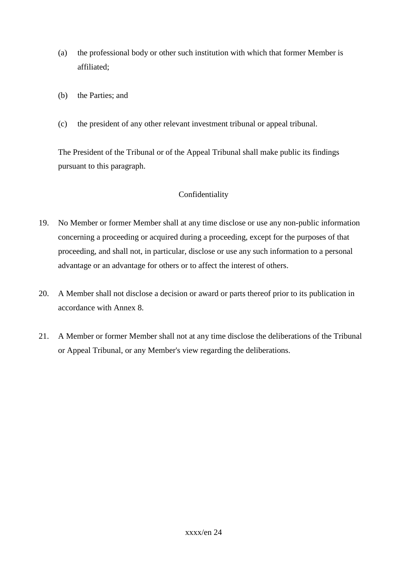- (a) the professional body or other such institution with which that former Member is affiliated;
- (b) the Parties; and
- (c) the president of any other relevant investment tribunal or appeal tribunal.

The President of the Tribunal or of the Appeal Tribunal shall make public its findings pursuant to this paragraph.

#### Confidentiality

- 19. No Member or former Member shall at any time disclose or use any non-public information concerning a proceeding or acquired during a proceeding, except for the purposes of that proceeding, and shall not, in particular, disclose or use any such information to a personal advantage or an advantage for others or to affect the interest of others.
- 20. A Member shall not disclose a decision or award or parts thereof prior to its publication in accordance with Annex 8.
- 21. A Member or former Member shall not at any time disclose the deliberations of the Tribunal or Appeal Tribunal, or any Member's view regarding the deliberations.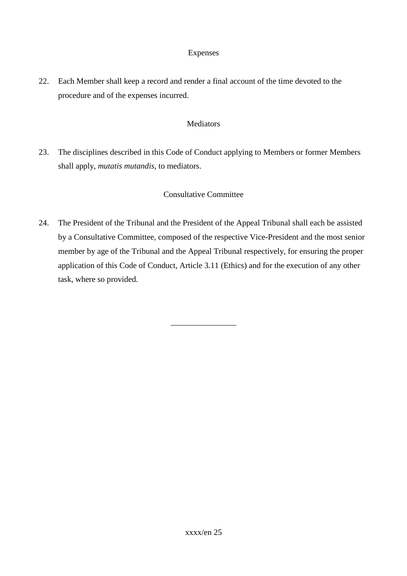#### Expenses

22. Each Member shall keep a record and render a final account of the time devoted to the procedure and of the expenses incurred.

#### Mediators

23. The disciplines described in this Code of Conduct applying to Members or former Members shall apply, *mutatis mutandis*, to mediators.

#### Consultative Committee

24. The President of the Tribunal and the President of the Appeal Tribunal shall each be assisted by a Consultative Committee, composed of the respective Vice-President and the most senior member by age of the Tribunal and the Appeal Tribunal respectively, for ensuring the proper application of this Code of Conduct, Article 3.11 (Ethics) and for the execution of any other task, where so provided.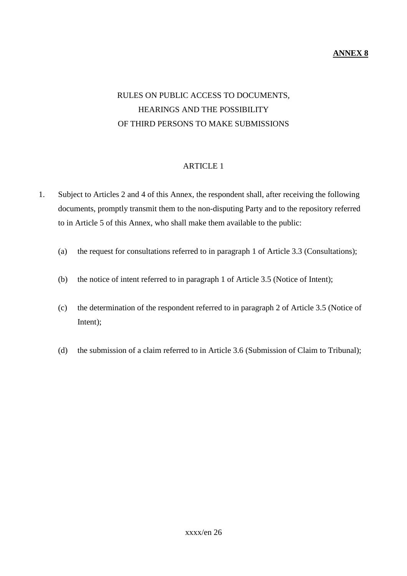#### **ANNEX 8**

# RULES ON PUBLIC ACCESS TO DOCUMENTS, HEARINGS AND THE POSSIBILITY OF THIRD PERSONS TO MAKE SUBMISSIONS

#### ARTICLE 1

- 1. Subject to Articles 2 and 4 of this Annex, the respondent shall, after receiving the following documents, promptly transmit them to the non-disputing Party and to the repository referred to in Article 5 of this Annex, who shall make them available to the public:
	- (a) the request for consultations referred to in paragraph 1 of Article 3.3 (Consultations);
	- (b) the notice of intent referred to in paragraph 1 of Article 3.5 (Notice of Intent);
	- (c) the determination of the respondent referred to in paragraph 2 of Article 3.5 (Notice of Intent);
	- (d) the submission of a claim referred to in Article 3.6 (Submission of Claim to Tribunal);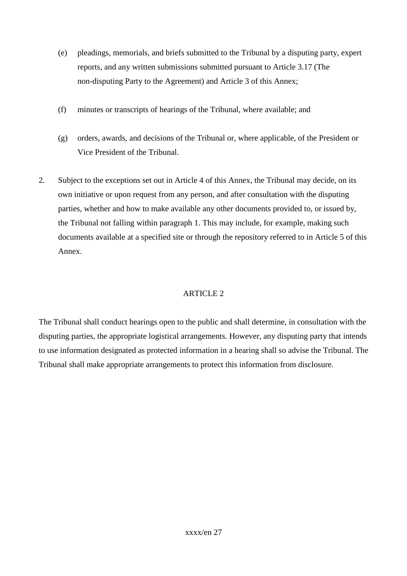- (e) pleadings, memorials, and briefs submitted to the Tribunal by a disputing party, expert reports, and any written submissions submitted pursuant to Article 3.17 (The non-disputing Party to the Agreement) and Article 3 of this Annex;
- (f) minutes or transcripts of hearings of the Tribunal, where available; and
- (g) orders, awards, and decisions of the Tribunal or, where applicable, of the President or Vice President of the Tribunal.
- 2. Subject to the exceptions set out in Article 4 of this Annex, the Tribunal may decide, on its own initiative or upon request from any person, and after consultation with the disputing parties, whether and how to make available any other documents provided to, or issued by, the Tribunal not falling within paragraph 1. This may include, for example, making such documents available at a specified site or through the repository referred to in Article 5 of this Annex.

The Tribunal shall conduct hearings open to the public and shall determine, in consultation with the disputing parties, the appropriate logistical arrangements. However, any disputing party that intends to use information designated as protected information in a hearing shall so advise the Tribunal. The Tribunal shall make appropriate arrangements to protect this information from disclosure.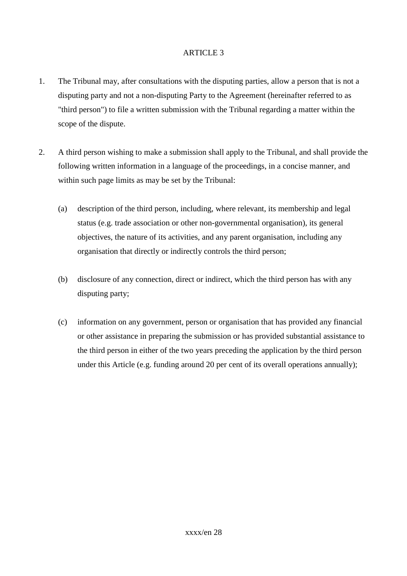- 1. The Tribunal may, after consultations with the disputing parties, allow a person that is not a disputing party and not a non-disputing Party to the Agreement (hereinafter referred to as "third person") to file a written submission with the Tribunal regarding a matter within the scope of the dispute.
- 2. A third person wishing to make a submission shall apply to the Tribunal, and shall provide the following written information in a language of the proceedings, in a concise manner, and within such page limits as may be set by the Tribunal:
	- (a) description of the third person, including, where relevant, its membership and legal status (e.g. trade association or other non-governmental organisation), its general objectives, the nature of its activities, and any parent organisation, including any organisation that directly or indirectly controls the third person;
	- (b) disclosure of any connection, direct or indirect, which the third person has with any disputing party;
	- (c) information on any government, person or organisation that has provided any financial or other assistance in preparing the submission or has provided substantial assistance to the third person in either of the two years preceding the application by the third person under this Article (e.g. funding around 20 per cent of its overall operations annually);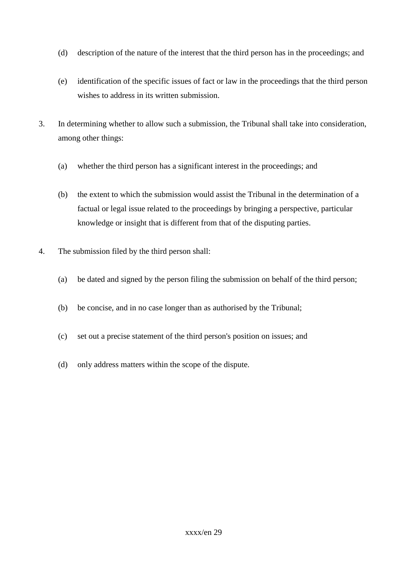- (d) description of the nature of the interest that the third person has in the proceedings; and
- (e) identification of the specific issues of fact or law in the proceedings that the third person wishes to address in its written submission.
- 3. In determining whether to allow such a submission, the Tribunal shall take into consideration, among other things:
	- (a) whether the third person has a significant interest in the proceedings; and
	- (b) the extent to which the submission would assist the Tribunal in the determination of a factual or legal issue related to the proceedings by bringing a perspective, particular knowledge or insight that is different from that of the disputing parties.
- 4. The submission filed by the third person shall:
	- (a) be dated and signed by the person filing the submission on behalf of the third person;
	- (b) be concise, and in no case longer than as authorised by the Tribunal;
	- (c) set out a precise statement of the third person's position on issues; and
	- (d) only address matters within the scope of the dispute.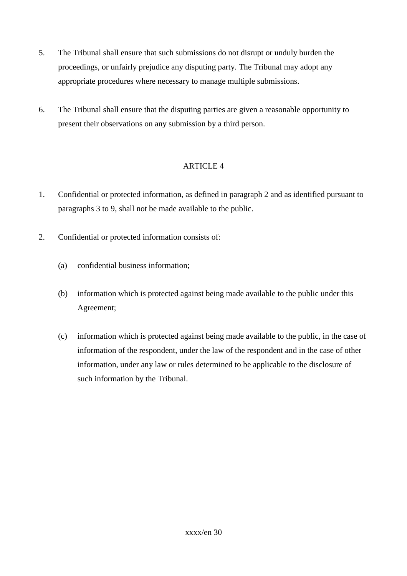- 5. The Tribunal shall ensure that such submissions do not disrupt or unduly burden the proceedings, or unfairly prejudice any disputing party. The Tribunal may adopt any appropriate procedures where necessary to manage multiple submissions.
- 6. The Tribunal shall ensure that the disputing parties are given a reasonable opportunity to present their observations on any submission by a third person.

- 1. Confidential or protected information, as defined in paragraph 2 and as identified pursuant to paragraphs 3 to 9, shall not be made available to the public.
- 2. Confidential or protected information consists of:
	- (a) confidential business information;
	- (b) information which is protected against being made available to the public under this Agreement;
	- (c) information which is protected against being made available to the public, in the case of information of the respondent, under the law of the respondent and in the case of other information, under any law or rules determined to be applicable to the disclosure of such information by the Tribunal.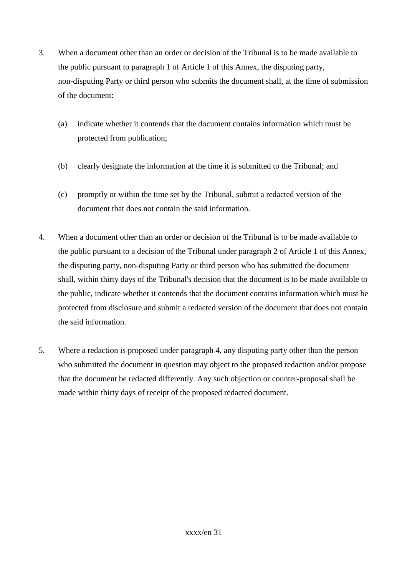- 3. When a document other than an order or decision of the Tribunal is to be made available to the public pursuant to paragraph 1 of Article 1 of this Annex, the disputing party, non-disputing Party or third person who submits the document shall, at the time of submission of the document:
	- (a) indicate whether it contends that the document contains information which must be protected from publication;
	- (b) clearly designate the information at the time it is submitted to the Tribunal; and
	- (c) promptly or within the time set by the Tribunal, submit a redacted version of the document that does not contain the said information.
- 4. When a document other than an order or decision of the Tribunal is to be made available to the public pursuant to a decision of the Tribunal under paragraph 2 of Article 1 of this Annex, the disputing party, non-disputing Party or third person who has submitted the document shall, within thirty days of the Tribunal's decision that the document is to be made available to the public, indicate whether it contends that the document contains information which must be protected from disclosure and submit a redacted version of the document that does not contain the said information.
- 5. Where a redaction is proposed under paragraph 4, any disputing party other than the person who submitted the document in question may object to the proposed redaction and/or propose that the document be redacted differently. Any such objection or counter-proposal shall be made within thirty days of receipt of the proposed redacted document.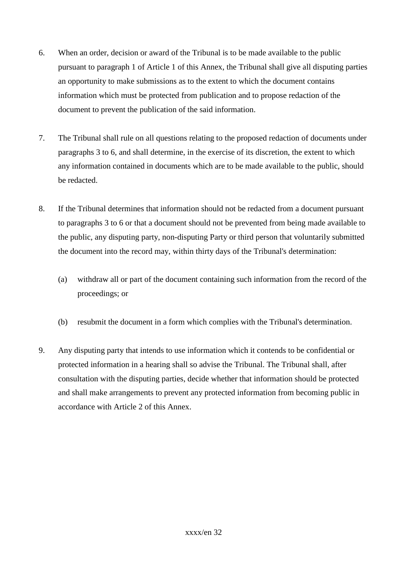- 6. When an order, decision or award of the Tribunal is to be made available to the public pursuant to paragraph 1 of Article 1 of this Annex, the Tribunal shall give all disputing parties an opportunity to make submissions as to the extent to which the document contains information which must be protected from publication and to propose redaction of the document to prevent the publication of the said information.
- 7. The Tribunal shall rule on all questions relating to the proposed redaction of documents under paragraphs 3 to 6, and shall determine, in the exercise of its discretion, the extent to which any information contained in documents which are to be made available to the public, should be redacted.
- 8. If the Tribunal determines that information should not be redacted from a document pursuant to paragraphs 3 to 6 or that a document should not be prevented from being made available to the public, any disputing party, non-disputing Party or third person that voluntarily submitted the document into the record may, within thirty days of the Tribunal's determination:
	- (a) withdraw all or part of the document containing such information from the record of the proceedings; or
	- (b) resubmit the document in a form which complies with the Tribunal's determination.
- 9. Any disputing party that intends to use information which it contends to be confidential or protected information in a hearing shall so advise the Tribunal. The Tribunal shall, after consultation with the disputing parties, decide whether that information should be protected and shall make arrangements to prevent any protected information from becoming public in accordance with Article 2 of this Annex.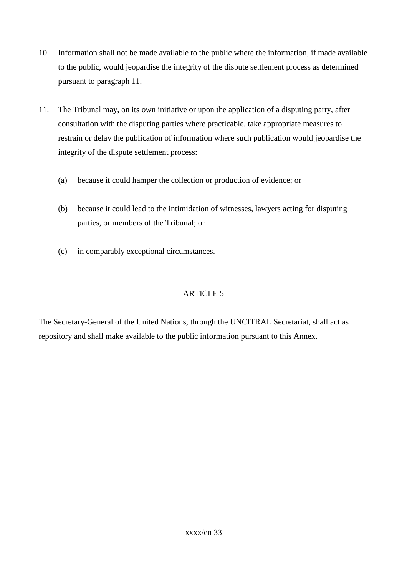- 10. Information shall not be made available to the public where the information, if made available to the public, would jeopardise the integrity of the dispute settlement process as determined pursuant to paragraph 11.
- 11. The Tribunal may, on its own initiative or upon the application of a disputing party, after consultation with the disputing parties where practicable, take appropriate measures to restrain or delay the publication of information where such publication would jeopardise the integrity of the dispute settlement process:
	- (a) because it could hamper the collection or production of evidence; or
	- (b) because it could lead to the intimidation of witnesses, lawyers acting for disputing parties, or members of the Tribunal; or
	- (c) in comparably exceptional circumstances.

The Secretary-General of the United Nations, through the UNCITRAL Secretariat, shall act as repository and shall make available to the public information pursuant to this Annex.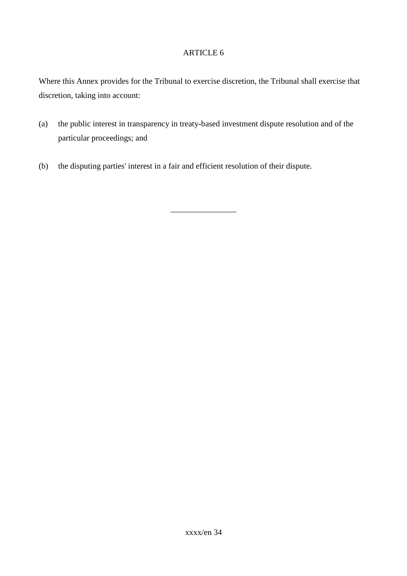Where this Annex provides for the Tribunal to exercise discretion, the Tribunal shall exercise that discretion, taking into account:

(a) the public interest in transparency in treaty-based investment dispute resolution and of the particular proceedings; and

\_\_\_\_\_\_\_\_\_\_\_\_\_\_\_\_

(b) the disputing parties' interest in a fair and efficient resolution of their dispute.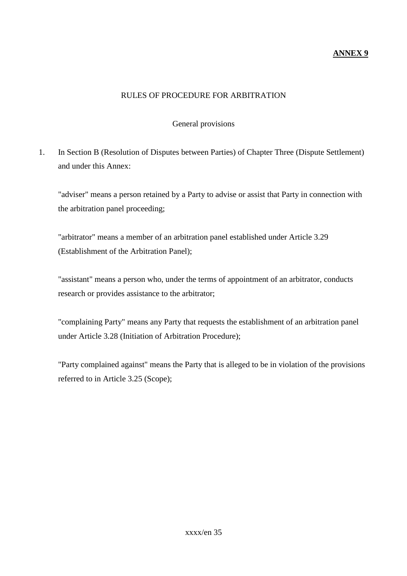#### **ANNEX 9**

#### RULES OF PROCEDURE FOR ARBITRATION

#### General provisions

1. In Section B (Resolution of Disputes between Parties) of Chapter Three (Dispute Settlement) and under this Annex:

"adviser" means a person retained by a Party to advise or assist that Party in connection with the arbitration panel proceeding;

"arbitrator" means a member of an arbitration panel established under Article 3.29 (Establishment of the Arbitration Panel);

"assistant" means a person who, under the terms of appointment of an arbitrator, conducts research or provides assistance to the arbitrator;

"complaining Party" means any Party that requests the establishment of an arbitration panel under Article 3.28 (Initiation of Arbitration Procedure);

"Party complained against" means the Party that is alleged to be in violation of the provisions referred to in Article 3.25 (Scope);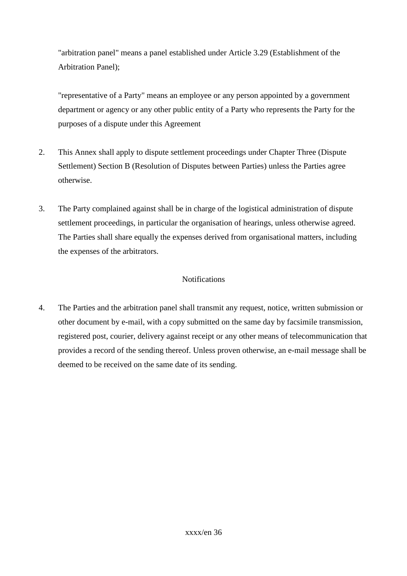"arbitration panel" means a panel established under Article 3.29 (Establishment of the Arbitration Panel);

"representative of a Party" means an employee or any person appointed by a government department or agency or any other public entity of a Party who represents the Party for the purposes of a dispute under this Agreement

- 2. This Annex shall apply to dispute settlement proceedings under Chapter Three (Dispute Settlement) Section B (Resolution of Disputes between Parties) unless the Parties agree otherwise.
- 3. The Party complained against shall be in charge of the logistical administration of dispute settlement proceedings, in particular the organisation of hearings, unless otherwise agreed. The Parties shall share equally the expenses derived from organisational matters, including the expenses of the arbitrators.

#### **Notifications**

4. The Parties and the arbitration panel shall transmit any request, notice, written submission or other document by e-mail, with a copy submitted on the same day by facsimile transmission, registered post, courier, delivery against receipt or any other means of telecommunication that provides a record of the sending thereof. Unless proven otherwise, an e-mail message shall be deemed to be received on the same date of its sending.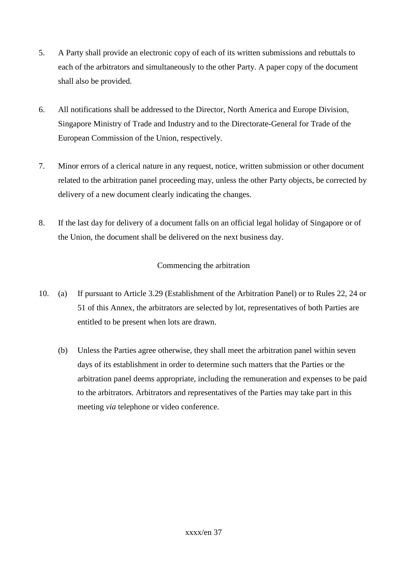- 5. A Party shall provide an electronic copy of each of its written submissions and rebuttals to each of the arbitrators and simultaneously to the other Party. A paper copy of the document shall also be provided.
- 6. All notifications shall be addressed to the Director, North America and Europe Division, Singapore Ministry of Trade and Industry and to the Directorate-General for Trade of the European Commission of the Union, respectively.
- 7. Minor errors of a clerical nature in any request, notice, written submission or other document related to the arbitration panel proceeding may, unless the other Party objects, be corrected by delivery of a new document clearly indicating the changes.
- 8. If the last day for delivery of a document falls on an official legal holiday of Singapore or of the Union, the document shall be delivered on the next business day.

## Commencing the arbitration

- 10. (a) If pursuant to Article 3.29 (Establishment of the Arbitration Panel) or to Rules 22, 24 or 51 of this Annex, the arbitrators are selected by lot, representatives of both Parties are entitled to be present when lots are drawn.
	- (b) Unless the Parties agree otherwise, they shall meet the arbitration panel within seven days of its establishment in order to determine such matters that the Parties or the arbitration panel deems appropriate, including the remuneration and expenses to be paid to the arbitrators. Arbitrators and representatives of the Parties may take part in this meeting *via* telephone or video conference.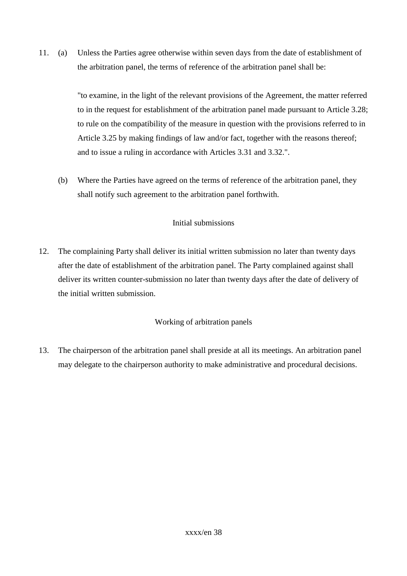11. (a) Unless the Parties agree otherwise within seven days from the date of establishment of the arbitration panel, the terms of reference of the arbitration panel shall be:

> "to examine, in the light of the relevant provisions of the Agreement, the matter referred to in the request for establishment of the arbitration panel made pursuant to Article 3.28; to rule on the compatibility of the measure in question with the provisions referred to in Article 3.25 by making findings of law and/or fact, together with the reasons thereof; and to issue a ruling in accordance with Articles 3.31 and 3.32.".

(b) Where the Parties have agreed on the terms of reference of the arbitration panel, they shall notify such agreement to the arbitration panel forthwith.

## Initial submissions

12. The complaining Party shall deliver its initial written submission no later than twenty days after the date of establishment of the arbitration panel. The Party complained against shall deliver its written counter-submission no later than twenty days after the date of delivery of the initial written submission.

## Working of arbitration panels

13. The chairperson of the arbitration panel shall preside at all its meetings. An arbitration panel may delegate to the chairperson authority to make administrative and procedural decisions.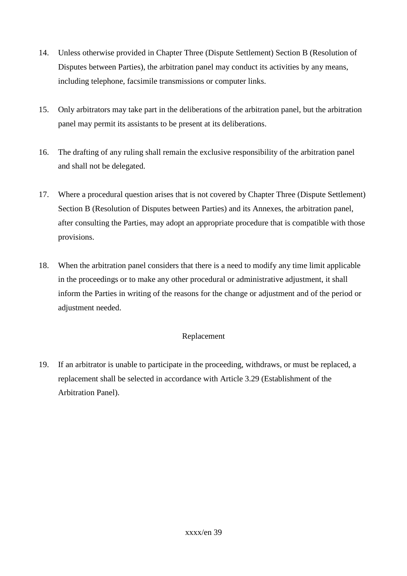- 14. Unless otherwise provided in Chapter Three (Dispute Settlement) Section B (Resolution of Disputes between Parties), the arbitration panel may conduct its activities by any means, including telephone, facsimile transmissions or computer links.
- 15. Only arbitrators may take part in the deliberations of the arbitration panel, but the arbitration panel may permit its assistants to be present at its deliberations.
- 16. The drafting of any ruling shall remain the exclusive responsibility of the arbitration panel and shall not be delegated.
- 17. Where a procedural question arises that is not covered by Chapter Three (Dispute Settlement) Section B (Resolution of Disputes between Parties) and its Annexes, the arbitration panel, after consulting the Parties, may adopt an appropriate procedure that is compatible with those provisions.
- 18. When the arbitration panel considers that there is a need to modify any time limit applicable in the proceedings or to make any other procedural or administrative adjustment, it shall inform the Parties in writing of the reasons for the change or adjustment and of the period or adjustment needed.

## Replacement

19. If an arbitrator is unable to participate in the proceeding, withdraws, or must be replaced, a replacement shall be selected in accordance with Article 3.29 (Establishment of the Arbitration Panel).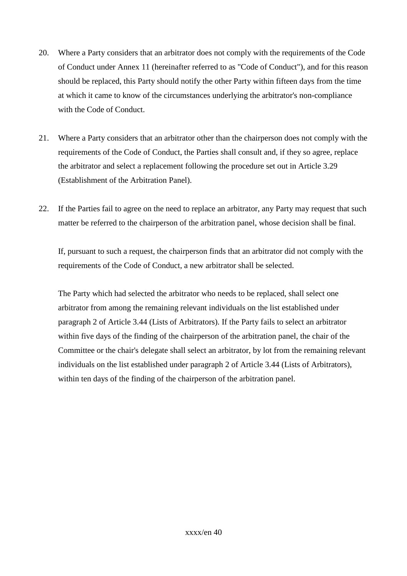- 20. Where a Party considers that an arbitrator does not comply with the requirements of the Code of Conduct under Annex 11 (hereinafter referred to as "Code of Conduct"), and for this reason should be replaced, this Party should notify the other Party within fifteen days from the time at which it came to know of the circumstances underlying the arbitrator's non-compliance with the Code of Conduct.
- 21. Where a Party considers that an arbitrator other than the chairperson does not comply with the requirements of the Code of Conduct, the Parties shall consult and, if they so agree, replace the arbitrator and select a replacement following the procedure set out in Article 3.29 (Establishment of the Arbitration Panel).
- 22. If the Parties fail to agree on the need to replace an arbitrator, any Party may request that such matter be referred to the chairperson of the arbitration panel, whose decision shall be final.

If, pursuant to such a request, the chairperson finds that an arbitrator did not comply with the requirements of the Code of Conduct, a new arbitrator shall be selected.

The Party which had selected the arbitrator who needs to be replaced, shall select one arbitrator from among the remaining relevant individuals on the list established under paragraph 2 of Article 3.44 (Lists of Arbitrators). If the Party fails to select an arbitrator within five days of the finding of the chairperson of the arbitration panel, the chair of the Committee or the chair's delegate shall select an arbitrator, by lot from the remaining relevant individuals on the list established under paragraph 2 of Article 3.44 (Lists of Arbitrators), within ten days of the finding of the chairperson of the arbitration panel.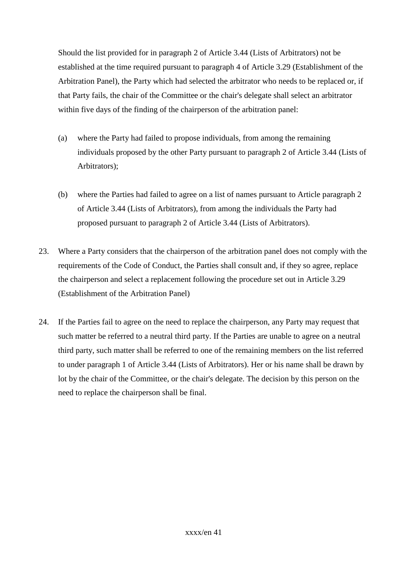Should the list provided for in paragraph 2 of Article 3.44 (Lists of Arbitrators) not be established at the time required pursuant to paragraph 4 of Article 3.29 (Establishment of the Arbitration Panel), the Party which had selected the arbitrator who needs to be replaced or, if that Party fails, the chair of the Committee or the chair's delegate shall select an arbitrator within five days of the finding of the chairperson of the arbitration panel:

- (a) where the Party had failed to propose individuals, from among the remaining individuals proposed by the other Party pursuant to paragraph 2 of Article 3.44 (Lists of Arbitrators);
- (b) where the Parties had failed to agree on a list of names pursuant to Article paragraph 2 of Article 3.44 (Lists of Arbitrators), from among the individuals the Party had proposed pursuant to paragraph 2 of Article 3.44 (Lists of Arbitrators).
- 23. Where a Party considers that the chairperson of the arbitration panel does not comply with the requirements of the Code of Conduct, the Parties shall consult and, if they so agree, replace the chairperson and select a replacement following the procedure set out in Article 3.29 (Establishment of the Arbitration Panel)
- 24. If the Parties fail to agree on the need to replace the chairperson, any Party may request that such matter be referred to a neutral third party. If the Parties are unable to agree on a neutral third party, such matter shall be referred to one of the remaining members on the list referred to under paragraph 1 of Article 3.44 (Lists of Arbitrators). Her or his name shall be drawn by lot by the chair of the Committee, or the chair's delegate. The decision by this person on the need to replace the chairperson shall be final.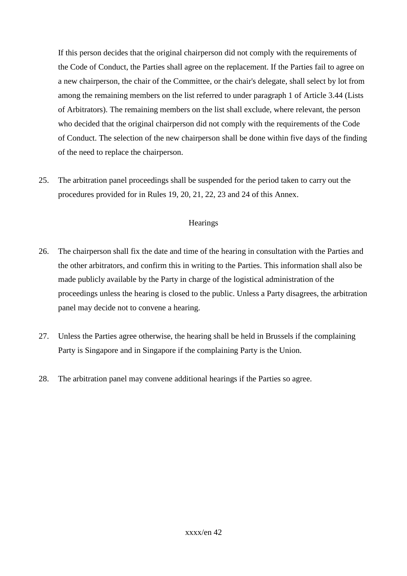If this person decides that the original chairperson did not comply with the requirements of the Code of Conduct, the Parties shall agree on the replacement. If the Parties fail to agree on a new chairperson, the chair of the Committee, or the chair's delegate, shall select by lot from among the remaining members on the list referred to under paragraph 1 of Article 3.44 (Lists of Arbitrators). The remaining members on the list shall exclude, where relevant, the person who decided that the original chairperson did not comply with the requirements of the Code of Conduct. The selection of the new chairperson shall be done within five days of the finding of the need to replace the chairperson.

25. The arbitration panel proceedings shall be suspended for the period taken to carry out the procedures provided for in Rules 19, 20, 21, 22, 23 and 24 of this Annex.

#### **Hearings**

- 26. The chairperson shall fix the date and time of the hearing in consultation with the Parties and the other arbitrators, and confirm this in writing to the Parties. This information shall also be made publicly available by the Party in charge of the logistical administration of the proceedings unless the hearing is closed to the public. Unless a Party disagrees, the arbitration panel may decide not to convene a hearing.
- 27. Unless the Parties agree otherwise, the hearing shall be held in Brussels if the complaining Party is Singapore and in Singapore if the complaining Party is the Union.
- 28. The arbitration panel may convene additional hearings if the Parties so agree.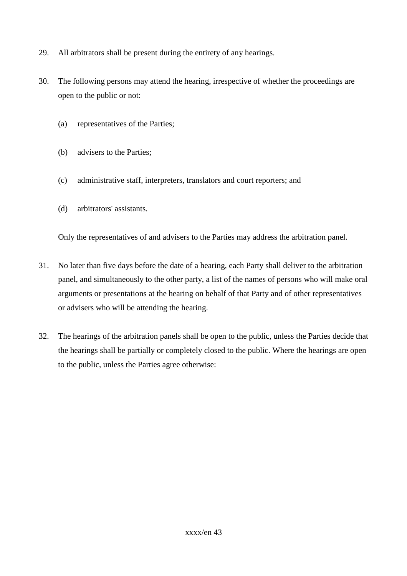- 29. All arbitrators shall be present during the entirety of any hearings.
- 30. The following persons may attend the hearing, irrespective of whether the proceedings are open to the public or not:
	- (a) representatives of the Parties;
	- (b) advisers to the Parties;
	- (c) administrative staff, interpreters, translators and court reporters; and
	- (d) arbitrators' assistants.

Only the representatives of and advisers to the Parties may address the arbitration panel.

- 31. No later than five days before the date of a hearing, each Party shall deliver to the arbitration panel, and simultaneously to the other party, a list of the names of persons who will make oral arguments or presentations at the hearing on behalf of that Party and of other representatives or advisers who will be attending the hearing.
- 32. The hearings of the arbitration panels shall be open to the public, unless the Parties decide that the hearings shall be partially or completely closed to the public. Where the hearings are open to the public, unless the Parties agree otherwise: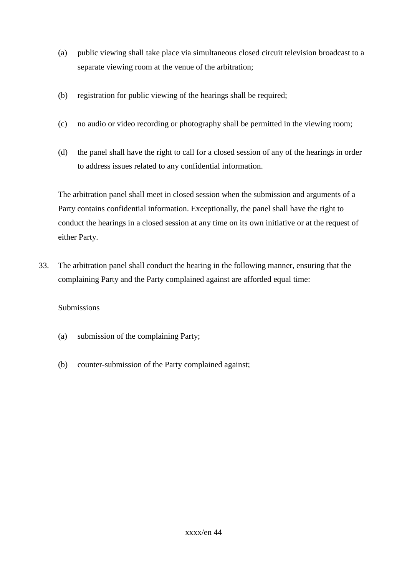- (a) public viewing shall take place via simultaneous closed circuit television broadcast to a separate viewing room at the venue of the arbitration;
- (b) registration for public viewing of the hearings shall be required;
- (c) no audio or video recording or photography shall be permitted in the viewing room;
- (d) the panel shall have the right to call for a closed session of any of the hearings in order to address issues related to any confidential information.

The arbitration panel shall meet in closed session when the submission and arguments of a Party contains confidential information. Exceptionally, the panel shall have the right to conduct the hearings in a closed session at any time on its own initiative or at the request of either Party.

33. The arbitration panel shall conduct the hearing in the following manner, ensuring that the complaining Party and the Party complained against are afforded equal time:

## Submissions

- (a) submission of the complaining Party;
- (b) counter-submission of the Party complained against;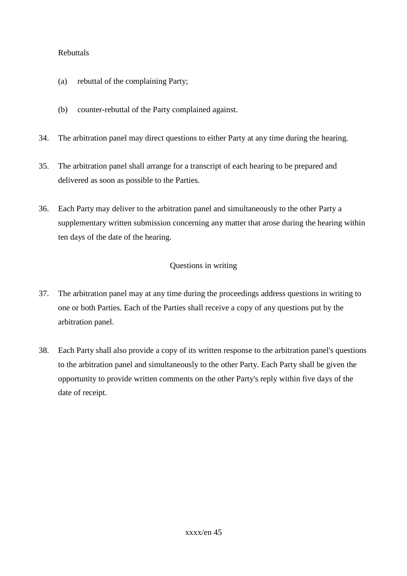#### Rebuttals

- (a) rebuttal of the complaining Party;
- (b) counter-rebuttal of the Party complained against.
- 34. The arbitration panel may direct questions to either Party at any time during the hearing.
- 35. The arbitration panel shall arrange for a transcript of each hearing to be prepared and delivered as soon as possible to the Parties.
- 36. Each Party may deliver to the arbitration panel and simultaneously to the other Party a supplementary written submission concerning any matter that arose during the hearing within ten days of the date of the hearing.

## Questions in writing

- 37. The arbitration panel may at any time during the proceedings address questions in writing to one or both Parties. Each of the Parties shall receive a copy of any questions put by the arbitration panel.
- 38. Each Party shall also provide a copy of its written response to the arbitration panel's questions to the arbitration panel and simultaneously to the other Party. Each Party shall be given the opportunity to provide written comments on the other Party's reply within five days of the date of receipt.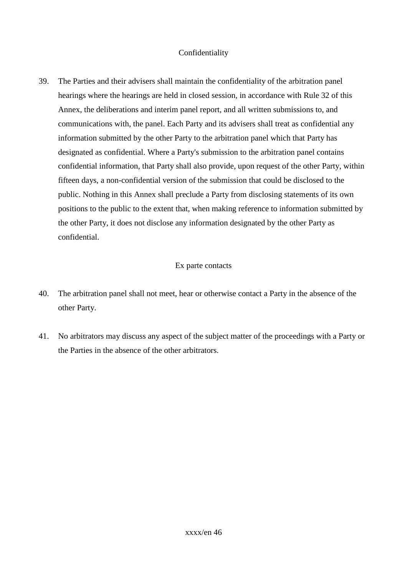#### Confidentiality

39. The Parties and their advisers shall maintain the confidentiality of the arbitration panel hearings where the hearings are held in closed session, in accordance with Rule 32 of this Annex, the deliberations and interim panel report, and all written submissions to, and communications with, the panel. Each Party and its advisers shall treat as confidential any information submitted by the other Party to the arbitration panel which that Party has designated as confidential. Where a Party's submission to the arbitration panel contains confidential information, that Party shall also provide, upon request of the other Party, within fifteen days, a non-confidential version of the submission that could be disclosed to the public. Nothing in this Annex shall preclude a Party from disclosing statements of its own positions to the public to the extent that, when making reference to information submitted by the other Party, it does not disclose any information designated by the other Party as confidential.

#### Ex parte contacts

- 40. The arbitration panel shall not meet, hear or otherwise contact a Party in the absence of the other Party.
- 41. No arbitrators may discuss any aspect of the subject matter of the proceedings with a Party or the Parties in the absence of the other arbitrators.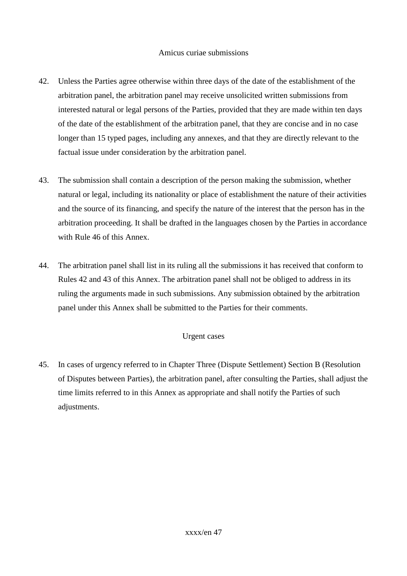#### Amicus curiae submissions

- 42. Unless the Parties agree otherwise within three days of the date of the establishment of the arbitration panel, the arbitration panel may receive unsolicited written submissions from interested natural or legal persons of the Parties, provided that they are made within ten days of the date of the establishment of the arbitration panel, that they are concise and in no case longer than 15 typed pages, including any annexes, and that they are directly relevant to the factual issue under consideration by the arbitration panel.
- 43. The submission shall contain a description of the person making the submission, whether natural or legal, including its nationality or place of establishment the nature of their activities and the source of its financing, and specify the nature of the interest that the person has in the arbitration proceeding. It shall be drafted in the languages chosen by the Parties in accordance with Rule 46 of this Annex.
- 44. The arbitration panel shall list in its ruling all the submissions it has received that conform to Rules 42 and 43 of this Annex. The arbitration panel shall not be obliged to address in its ruling the arguments made in such submissions. Any submission obtained by the arbitration panel under this Annex shall be submitted to the Parties for their comments.

#### Urgent cases

45. In cases of urgency referred to in Chapter Three (Dispute Settlement) Section B (Resolution of Disputes between Parties), the arbitration panel, after consulting the Parties, shall adjust the time limits referred to in this Annex as appropriate and shall notify the Parties of such adjustments.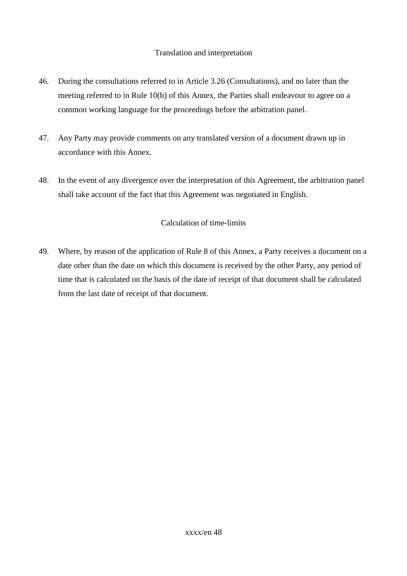#### Translation and interpretation

- 46. During the consultations referred to in Article 3.26 (Consultations), and no later than the meeting referred to in Rule 10(b) of this Annex, the Parties shall endeavour to agree on a common working language for the proceedings before the arbitration panel.
- 47. Any Party may provide comments on any translated version of a document drawn up in accordance with this Annex.
- 48. In the event of any divergence over the interpretation of this Agreement, the arbitration panel shall take account of the fact that this Agreement was negotiated in English.

## Calculation of time-limits

49. Where, by reason of the application of Rule 8 of this Annex, a Party receives a document on a date other than the date on which this document is received by the other Party, any period of time that is calculated on the basis of the date of receipt of that document shall be calculated from the last date of receipt of that document.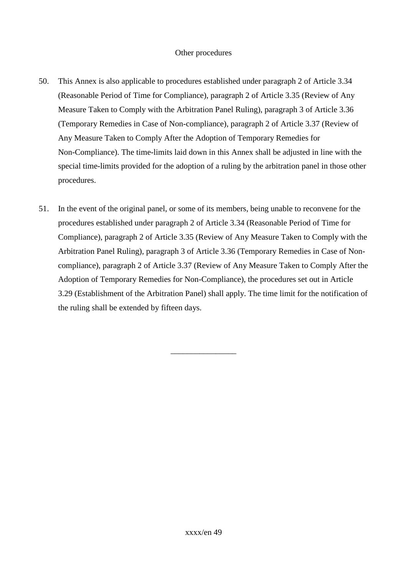#### Other procedures

- 50. This Annex is also applicable to procedures established under paragraph 2 of Article 3.34 (Reasonable Period of Time for Compliance), paragraph 2 of Article 3.35 (Review of Any Measure Taken to Comply with the Arbitration Panel Ruling), paragraph 3 of Article 3.36 (Temporary Remedies in Case of Non-compliance), paragraph 2 of Article 3.37 (Review of Any Measure Taken to Comply After the Adoption of Temporary Remedies for Non-Compliance). The time-limits laid down in this Annex shall be adjusted in line with the special time-limits provided for the adoption of a ruling by the arbitration panel in those other procedures.
- 51. In the event of the original panel, or some of its members, being unable to reconvene for the procedures established under paragraph 2 of Article 3.34 (Reasonable Period of Time for Compliance), paragraph 2 of Article 3.35 (Review of Any Measure Taken to Comply with the Arbitration Panel Ruling), paragraph 3 of Article 3.36 (Temporary Remedies in Case of Noncompliance), paragraph 2 of Article 3.37 (Review of Any Measure Taken to Comply After the Adoption of Temporary Remedies for Non-Compliance), the procedures set out in Article 3.29 (Establishment of the Arbitration Panel) shall apply. The time limit for the notification of the ruling shall be extended by fifteen days.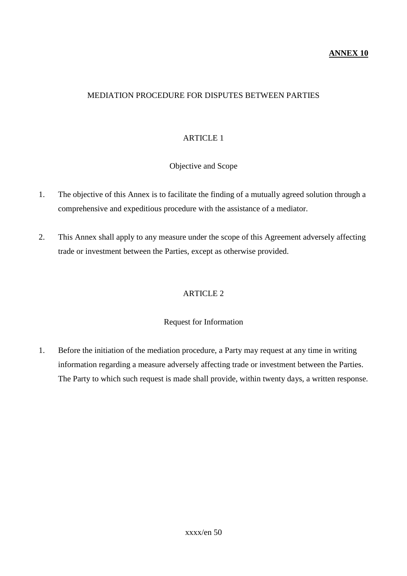#### **ANNEX 10**

#### MEDIATION PROCEDURE FOR DISPUTES BETWEEN PARTIES

#### ARTICLE 1

#### Objective and Scope

- 1. The objective of this Annex is to facilitate the finding of a mutually agreed solution through a comprehensive and expeditious procedure with the assistance of a mediator.
- 2. This Annex shall apply to any measure under the scope of this Agreement adversely affecting trade or investment between the Parties, except as otherwise provided.

#### ARTICLE 2

#### Request for Information

1. Before the initiation of the mediation procedure, a Party may request at any time in writing information regarding a measure adversely affecting trade or investment between the Parties. The Party to which such request is made shall provide, within twenty days, a written response.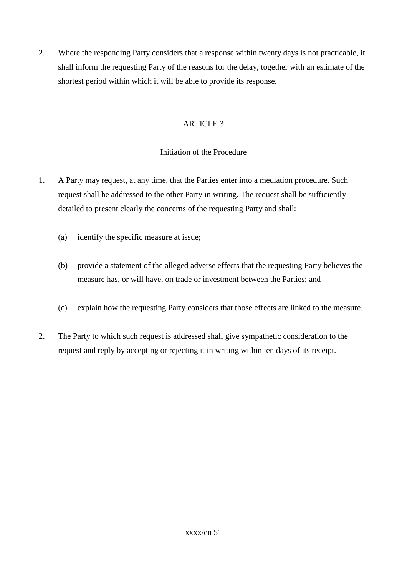2. Where the responding Party considers that a response within twenty days is not practicable, it shall inform the requesting Party of the reasons for the delay, together with an estimate of the shortest period within which it will be able to provide its response.

# ARTICLE 3

# Initiation of the Procedure

- 1. A Party may request, at any time, that the Parties enter into a mediation procedure. Such request shall be addressed to the other Party in writing. The request shall be sufficiently detailed to present clearly the concerns of the requesting Party and shall:
	- (a) identify the specific measure at issue;
	- (b) provide a statement of the alleged adverse effects that the requesting Party believes the measure has, or will have, on trade or investment between the Parties; and
	- (c) explain how the requesting Party considers that those effects are linked to the measure.
- 2. The Party to which such request is addressed shall give sympathetic consideration to the request and reply by accepting or rejecting it in writing within ten days of its receipt.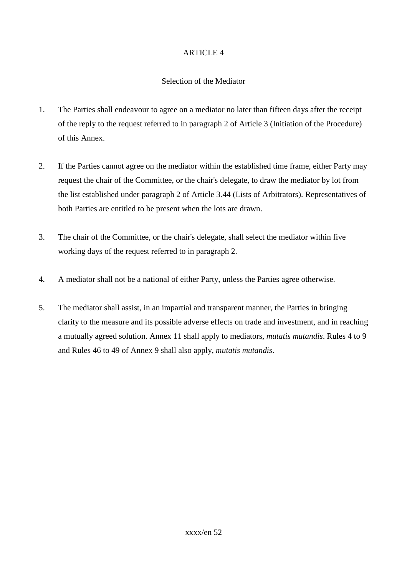#### Selection of the Mediator

- 1. The Parties shall endeavour to agree on a mediator no later than fifteen days after the receipt of the reply to the request referred to in paragraph 2 of Article 3 (Initiation of the Procedure) of this Annex.
- 2. If the Parties cannot agree on the mediator within the established time frame, either Party may request the chair of the Committee, or the chair's delegate, to draw the mediator by lot from the list established under paragraph 2 of Article 3.44 (Lists of Arbitrators). Representatives of both Parties are entitled to be present when the lots are drawn.
- 3. The chair of the Committee, or the chair's delegate, shall select the mediator within five working days of the request referred to in paragraph 2.
- 4. A mediator shall not be a national of either Party, unless the Parties agree otherwise.
- 5. The mediator shall assist, in an impartial and transparent manner, the Parties in bringing clarity to the measure and its possible adverse effects on trade and investment, and in reaching a mutually agreed solution. Annex 11 shall apply to mediators, *mutatis mutandis*. Rules 4 to 9 and Rules 46 to 49 of Annex 9 shall also apply, *mutatis mutandis*.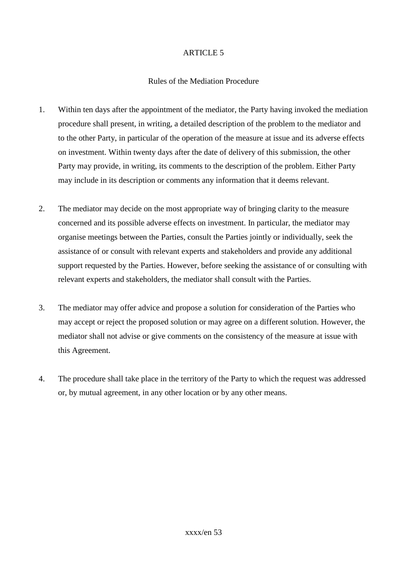#### Rules of the Mediation Procedure

- 1. Within ten days after the appointment of the mediator, the Party having invoked the mediation procedure shall present, in writing, a detailed description of the problem to the mediator and to the other Party, in particular of the operation of the measure at issue and its adverse effects on investment. Within twenty days after the date of delivery of this submission, the other Party may provide, in writing, its comments to the description of the problem. Either Party may include in its description or comments any information that it deems relevant.
- 2. The mediator may decide on the most appropriate way of bringing clarity to the measure concerned and its possible adverse effects on investment. In particular, the mediator may organise meetings between the Parties, consult the Parties jointly or individually, seek the assistance of or consult with relevant experts and stakeholders and provide any additional support requested by the Parties. However, before seeking the assistance of or consulting with relevant experts and stakeholders, the mediator shall consult with the Parties.
- 3. The mediator may offer advice and propose a solution for consideration of the Parties who may accept or reject the proposed solution or may agree on a different solution. However, the mediator shall not advise or give comments on the consistency of the measure at issue with this Agreement.
- 4. The procedure shall take place in the territory of the Party to which the request was addressed or, by mutual agreement, in any other location or by any other means.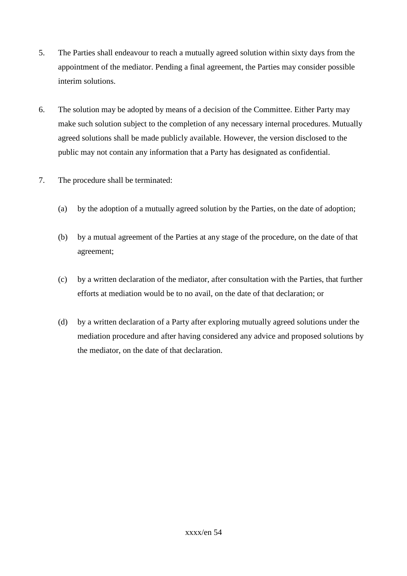- 5. The Parties shall endeavour to reach a mutually agreed solution within sixty days from the appointment of the mediator. Pending a final agreement, the Parties may consider possible interim solutions.
- 6. The solution may be adopted by means of a decision of the Committee. Either Party may make such solution subject to the completion of any necessary internal procedures. Mutually agreed solutions shall be made publicly available. However, the version disclosed to the public may not contain any information that a Party has designated as confidential.
- 7. The procedure shall be terminated:
	- (a) by the adoption of a mutually agreed solution by the Parties, on the date of adoption;
	- (b) by a mutual agreement of the Parties at any stage of the procedure, on the date of that agreement;
	- (c) by a written declaration of the mediator, after consultation with the Parties, that further efforts at mediation would be to no avail, on the date of that declaration; or
	- (d) by a written declaration of a Party after exploring mutually agreed solutions under the mediation procedure and after having considered any advice and proposed solutions by the mediator, on the date of that declaration.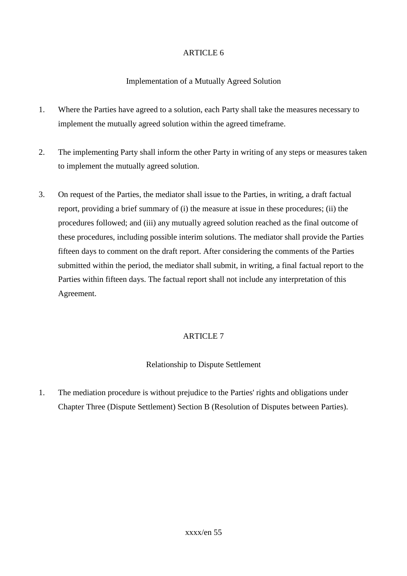# Implementation of a Mutually Agreed Solution

- 1. Where the Parties have agreed to a solution, each Party shall take the measures necessary to implement the mutually agreed solution within the agreed timeframe.
- 2. The implementing Party shall inform the other Party in writing of any steps or measures taken to implement the mutually agreed solution.
- 3. On request of the Parties, the mediator shall issue to the Parties, in writing, a draft factual report, providing a brief summary of (i) the measure at issue in these procedures; (ii) the procedures followed; and (iii) any mutually agreed solution reached as the final outcome of these procedures, including possible interim solutions. The mediator shall provide the Parties fifteen days to comment on the draft report. After considering the comments of the Parties submitted within the period, the mediator shall submit, in writing, a final factual report to the Parties within fifteen days. The factual report shall not include any interpretation of this Agreement.

# ARTICLE 7

# Relationship to Dispute Settlement

1. The mediation procedure is without prejudice to the Parties' rights and obligations under Chapter Three (Dispute Settlement) Section B (Resolution of Disputes between Parties).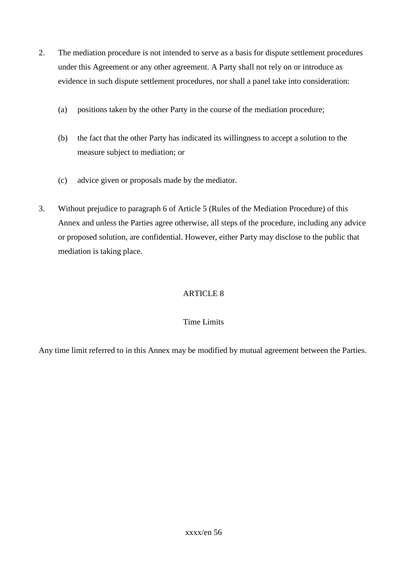- 2. The mediation procedure is not intended to serve as a basis for dispute settlement procedures under this Agreement or any other agreement. A Party shall not rely on or introduce as evidence in such dispute settlement procedures, nor shall a panel take into consideration:
	- (a) positions taken by the other Party in the course of the mediation procedure;
	- (b) the fact that the other Party has indicated its willingness to accept a solution to the measure subject to mediation; or
	- (c) advice given or proposals made by the mediator.
- 3. Without prejudice to paragraph 6 of Article 5 (Rules of the Mediation Procedure) of this Annex and unless the Parties agree otherwise, all steps of the procedure, including any advice or proposed solution, are confidential. However, either Party may disclose to the public that mediation is taking place.

## Time Limits

Any time limit referred to in this Annex may be modified by mutual agreement between the Parties.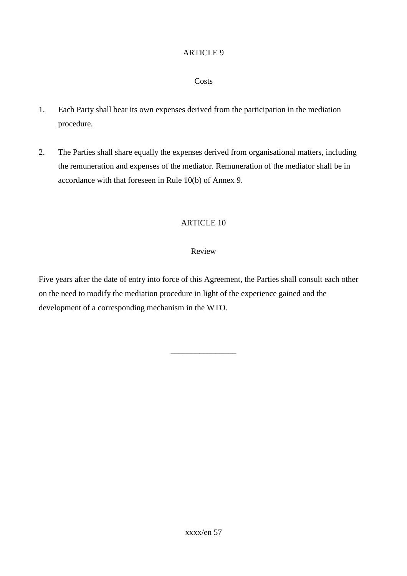#### **Costs**

- 1. Each Party shall bear its own expenses derived from the participation in the mediation procedure.
- 2. The Parties shall share equally the expenses derived from organisational matters, including the remuneration and expenses of the mediator. Remuneration of the mediator shall be in accordance with that foreseen in Rule 10(b) of Annex 9.

#### ARTICLE 10

#### Review

Five years after the date of entry into force of this Agreement, the Parties shall consult each other on the need to modify the mediation procedure in light of the experience gained and the development of a corresponding mechanism in the WTO.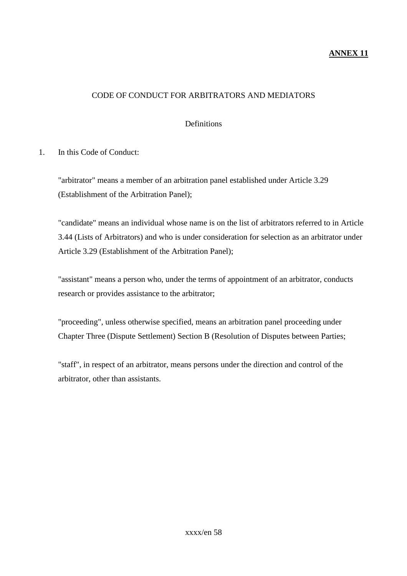#### **ANNEX 11**

#### CODE OF CONDUCT FOR ARBITRATORS AND MEDIATORS

#### Definitions

1. In this Code of Conduct:

"arbitrator" means a member of an arbitration panel established under Article 3.29 (Establishment of the Arbitration Panel);

"candidate" means an individual whose name is on the list of arbitrators referred to in Article 3.44 (Lists of Arbitrators) and who is under consideration for selection as an arbitrator under Article 3.29 (Establishment of the Arbitration Panel);

"assistant" means a person who, under the terms of appointment of an arbitrator, conducts research or provides assistance to the arbitrator;

"proceeding", unless otherwise specified, means an arbitration panel proceeding under Chapter Three (Dispute Settlement) Section B (Resolution of Disputes between Parties;

"staff", in respect of an arbitrator, means persons under the direction and control of the arbitrator, other than assistants.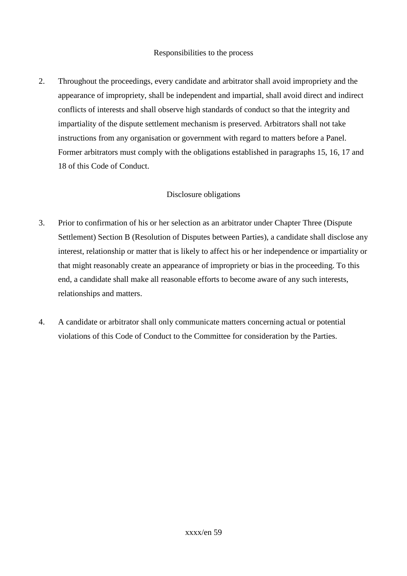#### Responsibilities to the process

2. Throughout the proceedings, every candidate and arbitrator shall avoid impropriety and the appearance of impropriety, shall be independent and impartial, shall avoid direct and indirect conflicts of interests and shall observe high standards of conduct so that the integrity and impartiality of the dispute settlement mechanism is preserved. Arbitrators shall not take instructions from any organisation or government with regard to matters before a Panel. Former arbitrators must comply with the obligations established in paragraphs 15, 16, 17 and 18 of this Code of Conduct.

#### Disclosure obligations

- 3. Prior to confirmation of his or her selection as an arbitrator under Chapter Three (Dispute Settlement) Section B (Resolution of Disputes between Parties), a candidate shall disclose any interest, relationship or matter that is likely to affect his or her independence or impartiality or that might reasonably create an appearance of impropriety or bias in the proceeding. To this end, a candidate shall make all reasonable efforts to become aware of any such interests, relationships and matters.
- 4. A candidate or arbitrator shall only communicate matters concerning actual or potential violations of this Code of Conduct to the Committee for consideration by the Parties.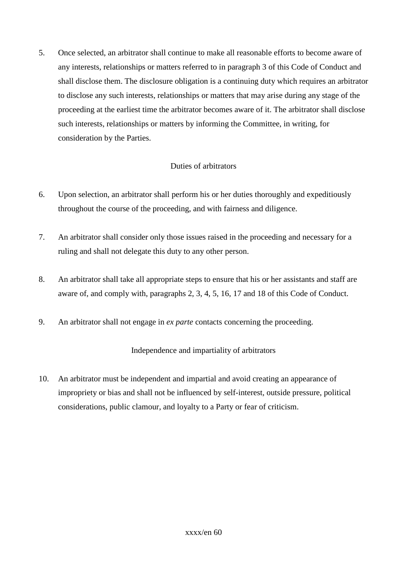5. Once selected, an arbitrator shall continue to make all reasonable efforts to become aware of any interests, relationships or matters referred to in paragraph 3 of this Code of Conduct and shall disclose them. The disclosure obligation is a continuing duty which requires an arbitrator to disclose any such interests, relationships or matters that may arise during any stage of the proceeding at the earliest time the arbitrator becomes aware of it. The arbitrator shall disclose such interests, relationships or matters by informing the Committee, in writing, for consideration by the Parties.

## Duties of arbitrators

- 6. Upon selection, an arbitrator shall perform his or her duties thoroughly and expeditiously throughout the course of the proceeding, and with fairness and diligence.
- 7. An arbitrator shall consider only those issues raised in the proceeding and necessary for a ruling and shall not delegate this duty to any other person.
- 8. An arbitrator shall take all appropriate steps to ensure that his or her assistants and staff are aware of, and comply with, paragraphs 2, 3, 4, 5, 16, 17 and 18 of this Code of Conduct.
- 9. An arbitrator shall not engage in *ex parte* contacts concerning the proceeding.

## Independence and impartiality of arbitrators

10. An arbitrator must be independent and impartial and avoid creating an appearance of impropriety or bias and shall not be influenced by self-interest, outside pressure, political considerations, public clamour, and loyalty to a Party or fear of criticism.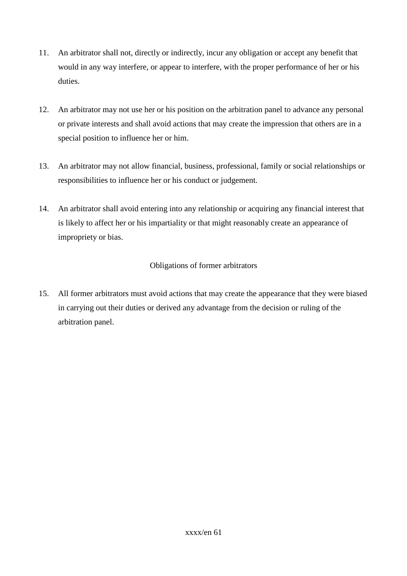- 11. An arbitrator shall not, directly or indirectly, incur any obligation or accept any benefit that would in any way interfere, or appear to interfere, with the proper performance of her or his duties.
- 12. An arbitrator may not use her or his position on the arbitration panel to advance any personal or private interests and shall avoid actions that may create the impression that others are in a special position to influence her or him.
- 13. An arbitrator may not allow financial, business, professional, family or social relationships or responsibilities to influence her or his conduct or judgement.
- 14. An arbitrator shall avoid entering into any relationship or acquiring any financial interest that is likely to affect her or his impartiality or that might reasonably create an appearance of impropriety or bias.

# Obligations of former arbitrators

15. All former arbitrators must avoid actions that may create the appearance that they were biased in carrying out their duties or derived any advantage from the decision or ruling of the arbitration panel.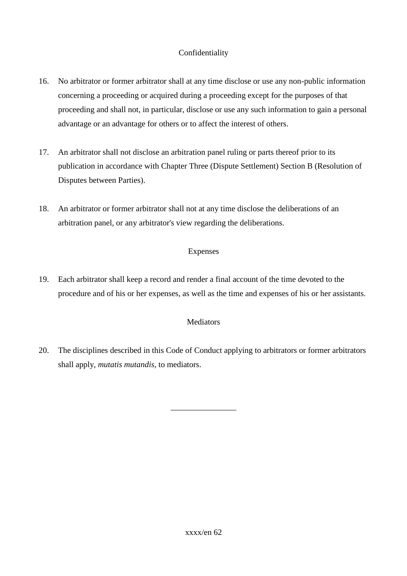# Confidentiality

- 16. No arbitrator or former arbitrator shall at any time disclose or use any non-public information concerning a proceeding or acquired during a proceeding except for the purposes of that proceeding and shall not, in particular, disclose or use any such information to gain a personal advantage or an advantage for others or to affect the interest of others.
- 17. An arbitrator shall not disclose an arbitration panel ruling or parts thereof prior to its publication in accordance with Chapter Three (Dispute Settlement) Section B (Resolution of Disputes between Parties).
- 18. An arbitrator or former arbitrator shall not at any time disclose the deliberations of an arbitration panel, or any arbitrator's view regarding the deliberations.

## Expenses

19. Each arbitrator shall keep a record and render a final account of the time devoted to the procedure and of his or her expenses, as well as the time and expenses of his or her assistants.

## **Mediators**

20. The disciplines described in this Code of Conduct applying to arbitrators or former arbitrators shall apply, *mutatis mutandis*, to mediators.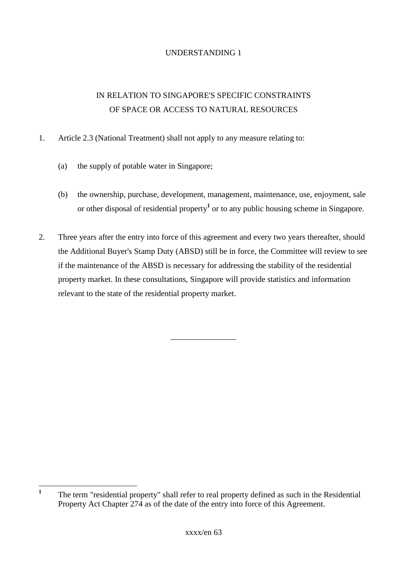# UNDERSTANDING 1

# IN RELATION TO SINGAPORE'S SPECIFIC CONSTRAINTS OF SPACE OR ACCESS TO NATURAL RESOURCES

- 1. Article 2.3 (National Treatment) shall not apply to any measure relating to:
	- (a) the supply of potable water in Singapore;
	- (b) the ownership, purchase, development, management, maintenance, use, enjoyment, sale or other disposal of residential property**<sup>1</sup>** or to any public housing scheme in Singapore.
- 2. Three years after the entry into force of this agreement and every two years thereafter, should the Additional Buyer's Stamp Duty (ABSD) still be in force, the Committee will review to see if the maintenance of the ABSD is necessary for addressing the stability of the residential property market. In these consultations, Singapore will provide statistics and information relevant to the state of the residential property market.

 **1** The term "residential property" shall refer to real property defined as such in the Residential Property Act Chapter 274 as of the date of the entry into force of this Agreement.